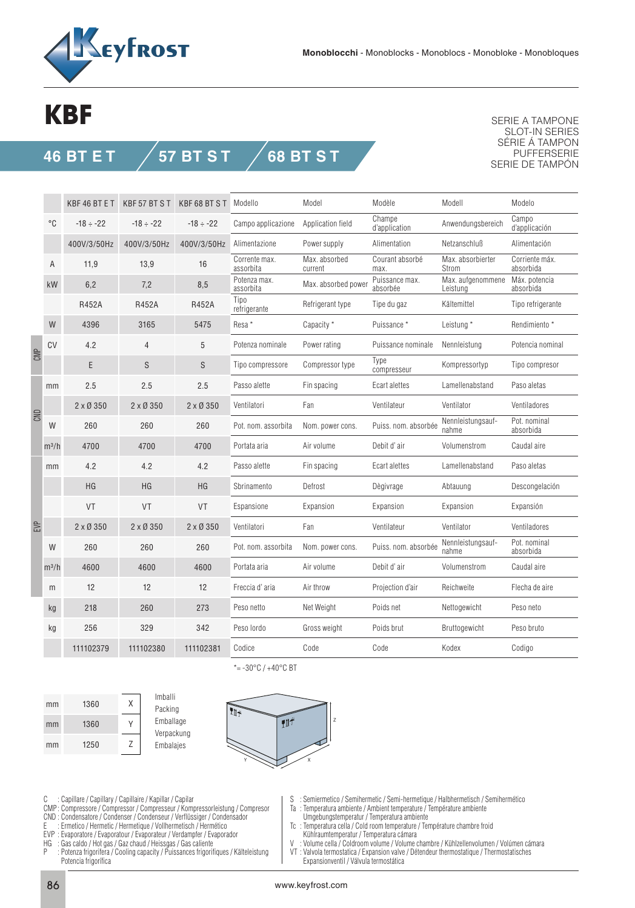

## **KBF**

**46 BT E T 57 BT S T 68 BT S T**

SERIE A TAMPONE SLOT-IN SERIES SÉRIE Á TAMPON PUFFERSERIE SERIE DE TAMPÓN

|     |              | KBF46BTET       | KBF 57 BT ST    | KBF68BTST       | Modello                    | Model                    | Modèle                     | Modell                        | Modelo                      |
|-----|--------------|-----------------|-----------------|-----------------|----------------------------|--------------------------|----------------------------|-------------------------------|-----------------------------|
|     | $^{\circ}$ C | $-18 \div -22$  | $-18 \div -22$  | $-18 \div -22$  | Campo applicazione         | Application field        | Champe<br>d'application    | Anwendungsbereich             | Campo<br>d'applicación      |
|     |              | 400V/3/50Hz     | 400V/3/50Hz     | 400V/3/50Hz     | Alimentazione              | Power supply             | Alimentation               | Netzanschluß                  | Alimentación                |
|     | A            | 11.9            | 13,9            | 16              | Corrente max.<br>assorbita | Max. absorbed<br>current | Courant absorbé<br>max.    | Max. absorbierter<br>Strom    | Corriente máx.<br>absorbida |
|     | kW           | 6,2             | 7,2             | 8,5             | Potenza max.<br>assorbita  | Max. absorbed power      | Puissance max.<br>absorbée | Max. aufgenommene<br>Leistung | Máx. potencia<br>absorbida  |
|     |              | R452A           | R452A           | <b>R452A</b>    | Tipo<br>refrigerante       | Refrigerant type         | Tipe du gaz                | Kältemittel                   | Tipo refrigerante           |
|     | W            | 4396            | 3165            | 5475            | Resa*                      | Capacity *               | Puissance*                 | Leistung *                    | Rendimiento *               |
| CMP | CV           | 4.2             | $\overline{4}$  | 5               | Potenza nominale           | Power rating             | Puissance nominale         | Nennleistung                  | Potencia nominal            |
|     |              | E               | S               | S               | Tipo compressore           | Compressor type          | Type<br>compresseur        | Kompressortyp                 | Tipo compresor              |
| CND | mm           | 2.5             | 2.5             | 2.5             | Passo alette               | Fin spacing              | Ecart alettes              | Lamellenabstand               | Paso aletas                 |
|     |              | $2 \times 0350$ | $2 \times 0350$ | $2 \times 0350$ | Ventilatori                | Fan                      | Ventilateur                | Ventilator                    | Ventiladores                |
|     | W            | 260             | 260             | 260             | Pot. nom. assorbita        | Nom. power cons.         | Puiss. nom. absorbée       | Nennleistungsauf-<br>nahme    | Pot. nominal<br>absorbida   |
|     | $m^3/h$      | 4700            | 4700            | 4700            | Portata aria               | Air volume               | Debit d'air                | Volumenstrom                  | Caudal aire                 |
| EVP | mm           | 4.2             | 4.2             | 4.2             | Passo alette               | Fin spacing              | Ecart alettes              | Lamellenabstand               | Paso aletas                 |
|     |              | <b>HG</b>       | HG              | HG              | Sbrinamento                | Defrost                  | Dègivrage                  | Abtauung                      | Descongelación              |
|     |              | VT              | <b>VT</b>       | <b>VT</b>       | Espansione                 | Expansion                | Expansion                  | Expansion                     | Expansión                   |
|     |              | $2 \times 0350$ | $2 \times 0350$ | $2 \times 0350$ | Ventilatori                | Fan                      | Ventilateur                | Ventilator                    | Ventiladores                |
|     | W            | 260             | 260             | 260             | Pot. nom. assorbita        | Nom. power cons.         | Puiss. nom. absorbée       | Nennleistungsauf-<br>nahme    | Pot. nominal<br>absorbida   |
|     | $m^3/h$      | 4600            | 4600            | 4600            | Portata aria               | Air volume               | Debit d'air                | Volumenstrom                  | Caudal aire                 |
|     | m            | 12              | 12              | 12              | Freccia d'aria             | Air throw                | Projection d'air           | Reichweite                    | Flecha de aire              |
|     | kg           | 218             | 260             | 273             | Peso netto                 | Net Weight               | Poids net                  | Nettogewicht                  | Peso neto                   |
|     | kg           | 256             | 329             | 342             | Peso lordo                 | Gross weight             | Poids brut                 | Bruttogewicht                 | Peso bruto                  |
|     |              | 111102379       | 111102380       | 111102381       | Codice                     | Code                     | Code                       | Kodex                         | Codigo                      |

1360 1360 1250 X Y Z mm mm mm





\*= $-30^{\circ}$ C /  $+40^{\circ}$ C BT

C : Capillare / Capillary / Capillaire / Kapillar / Capilar

- CMP : Compressore / Compressor / Compresseur / Kompressorleistung / Compresor
- CND : Condensatore / Condenser / Condenseur / Verflüssiger / Condensador
- E : Ermetico / Hermetic / Hermetique / Vollhermetisch / Hermético EVP : Evaporatore / Evaporatour / Evaporateur / Verdampfer / Evaporador
- 
- HG : Gas caldo / Hot gas / Gaz chaud / Heissgas / Gas caliente
- : Potenza frigorifera / Cooling capacity / Puissances frigorifiques / Kälteleistung Potencia frigorífica

S : Semiermetico / Semihermetic / Semi-hermetique / Halbhermetisch / Semihermético

- Ta : Temperatura ambiente / Ambient temperature / Température ambiente
- Umgebungstemperatur / Temperatura ambiente
- Tc : Temperatura cella / Cold room temperature / Température chambre froid
- Kühlraumtemperatur / Temperatura cámara<br>V · Volume cella / Coldroom volume / Volume ( Volume cella / Coldroom volume / Volume chambre / Kühlzellenvolumen / Volúmen cámara
- VT : Valvola termostatica / Expansion valve / Détendeur thermostatique / Thermostatisches Expansionventil / Válvula termostática